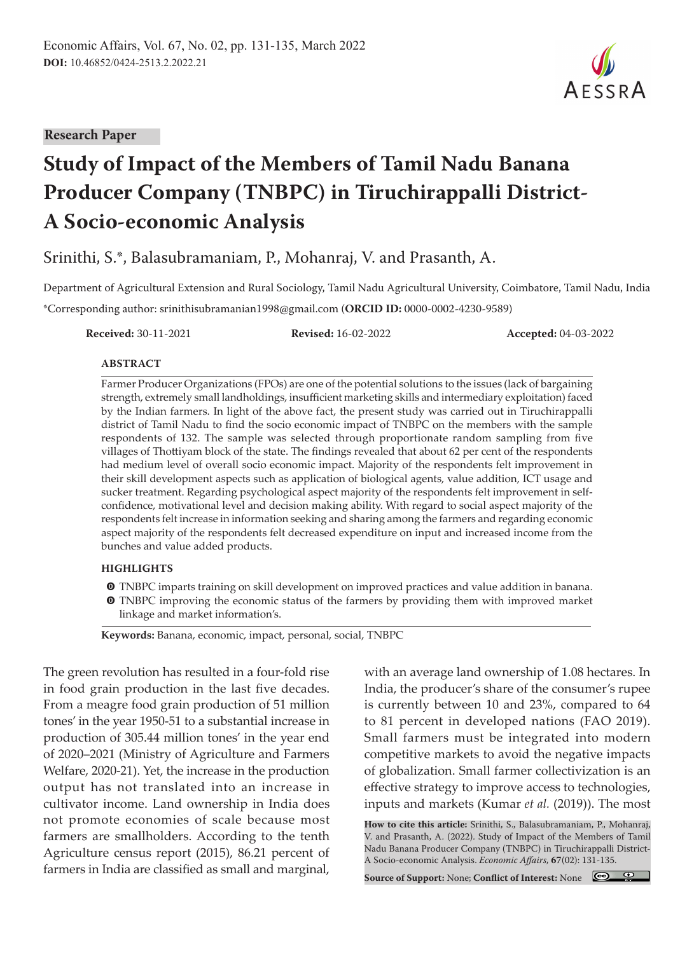#### **Research Paper**

# **Study of Impact of the Members of Tamil Nadu Banana Producer Company (TNBPC) in Tiruchirappalli District-A Socio-economic Analysis**

Srinithi, S.\*, Balasubramaniam, P., Mohanraj, V. and Prasanth, A.

Department of Agricultural Extension and Rural Sociology, Tamil Nadu Agricultural University, Coimbatore, Tamil Nadu, India \*Corresponding author: srinithisubramanian1998@gmail.com (**ORCID ID:** 0000-0002-4230-9589)

**Received:** 30-11-2021 **Revised:** 16-02-2022 **Accepted:** 04-03-2022

#### **ABSTRACT**

Farmer Producer Organizations (FPOs) are one of the potential solutions to the issues (lack of bargaining strength, extremely small landholdings, insufficient marketing skills and intermediary exploitation) faced by the Indian farmers. In light of the above fact, the present study was carried out in Tiruchirappalli district of Tamil Nadu to find the socio economic impact of TNBPC on the members with the sample respondents of 132. The sample was selected through proportionate random sampling from five villages of Thottiyam block of the state. The findings revealed that about 62 per cent of the respondents had medium level of overall socio economic impact. Majority of the respondents felt improvement in their skill development aspects such as application of biological agents, value addition, ICT usage and sucker treatment. Regarding psychological aspect majority of the respondents felt improvement in selfconfidence, motivational level and decision making ability. With regard to social aspect majority of the respondents felt increase in information seeking and sharing among the farmers and regarding economic aspect majority of the respondents felt decreased expenditure on input and increased income from the bunches and value added products.

#### **HIGHLIGHTS**

- $\bullet$  TNBPC imparts training on skill development on improved practices and value addition in banana.
- $\bullet$  TNBPC improving the economic status of the farmers by providing them with improved market linkage and market information's.

**Keywords:** Banana, economic, impact, personal, social, TNBPC

The green revolution has resulted in a four-fold rise in food grain production in the last five decades. From a meagre food grain production of 51 million tones' in the year 1950-51 to a substantial increase in production of 305.44 million tones' in the year end of 2020–2021 (Ministry of Agriculture and Farmers Welfare, 2020-21). Yet, the increase in the production output has not translated into an increase in cultivator income. Land ownership in India does not promote economies of scale because most farmers are smallholders. According to the tenth Agriculture census report (2015), 86.21 percent of farmers in India are classified as small and marginal,

with an average land ownership of 1.08 hectares. In India, the producer's share of the consumer's rupee is currently between 10 and 23%, compared to 64 to 81 percent in developed nations (FAO 2019). Small farmers must be integrated into modern competitive markets to avoid the negative impacts of globalization. Small farmer collectivization is an effective strategy to improve access to technologies, inputs and markets (Kumar *et al.* (2019)). The most

**How to cite this article:** Srinithi, S., Balasubramaniam, P., Mohanraj, V. and Prasanth, A. (2022). Study of Impact of the Members of Tamil Nadu Banana Producer Company (TNBPC) in Tiruchirappalli District-A Socio-economic Analysis. *Economic Affairs,* **67**(02): 131-135.

**Source of Support:** None; **Conflict of Interest:** None

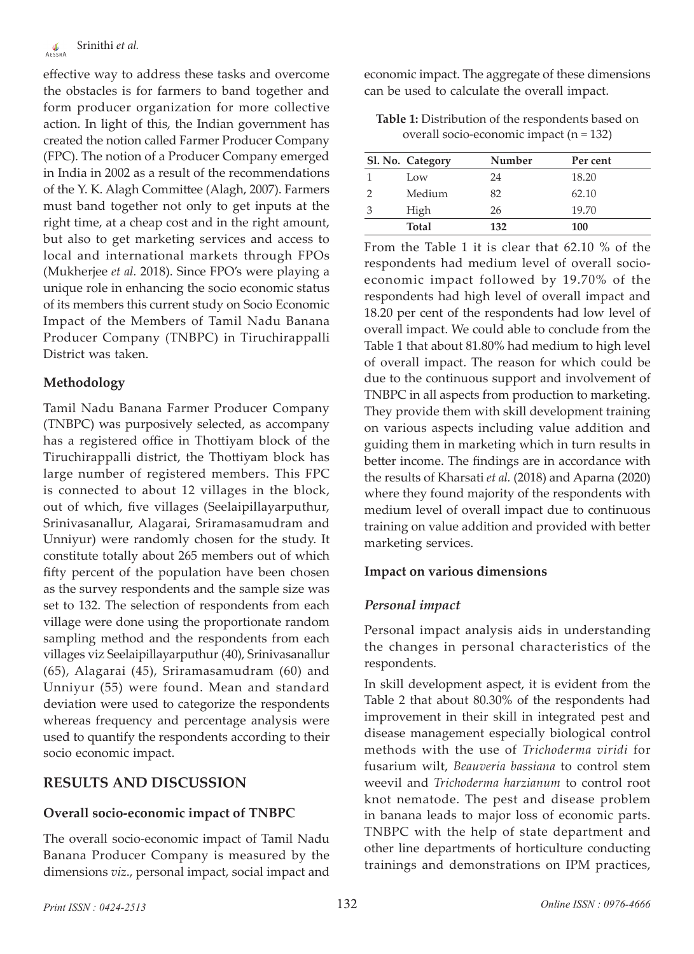effective way to address these tasks and overcome the obstacles is for farmers to band together and form producer organization for more collective action. In light of this, the Indian government has created the notion called Farmer Producer Company (FPC). The notion of a Producer Company emerged in India in 2002 as a result of the recommendations of the Y. K. Alagh Committee (Alagh, 2007). Farmers must band together not only to get inputs at the right time, at a cheap cost and in the right amount, but also to get marketing services and access to local and international markets through FPOs (Mukherjee *et al.* 2018). Since FPO's were playing a unique role in enhancing the socio economic status of its members this current study on Socio Economic Impact of the Members of Tamil Nadu Banana Producer Company (TNBPC) in Tiruchirappalli District was taken.

# **Methodology**

Tamil Nadu Banana Farmer Producer Company (TNBPC) was purposively selected, as accompany has a registered office in Thottiyam block of the Tiruchirappalli district, the Thottiyam block has large number of registered members. This FPC is connected to about 12 villages in the block, out of which, five villages (Seelaipillayarputhur, Srinivasanallur, Alagarai, Sriramasamudram and Unniyur) were randomly chosen for the study. It constitute totally about 265 members out of which fifty percent of the population have been chosen as the survey respondents and the sample size was set to 132. The selection of respondents from each village were done using the proportionate random sampling method and the respondents from each villages viz Seelaipillayarputhur (40), Srinivasanallur (65), Alagarai (45), Sriramasamudram (60) and Unniyur (55) were found. Mean and standard deviation were used to categorize the respondents whereas frequency and percentage analysis were used to quantify the respondents according to their socio economic impact.

# **RESULTS AND DISCUSSION**

# **Overall socio-economic impact of TNBPC**

The overall socio-economic impact of Tamil Nadu Banana Producer Company is measured by the dimensions *viz*., personal impact, social impact and

economic impact. The aggregate of these dimensions can be used to calculate the overall impact.

**Table 1:** Distribution of the respondents based on overall socio-economic impact (n = 132)

| Sl. No. Category | Number | Per cent   |
|------------------|--------|------------|
| Low              | 24     | 18.20      |
| Medium           | 82     | 62.10      |
| High             | 26     | 19.70      |
| <b>Total</b>     | 132    | <b>100</b> |

From the Table 1 it is clear that 62.10 % of the respondents had medium level of overall socioeconomic impact followed by 19.70% of the respondents had high level of overall impact and 18.20 per cent of the respondents had low level of overall impact. We could able to conclude from the Table 1 that about 81.80% had medium to high level of overall impact. The reason for which could be due to the continuous support and involvement of TNBPC in all aspects from production to marketing. They provide them with skill development training on various aspects including value addition and guiding them in marketing which in turn results in better income. The findings are in accordance with the results of Kharsati *et al.* (2018) and Aparna (2020) where they found majority of the respondents with medium level of overall impact due to continuous training on value addition and provided with better marketing services.

# **Impact on various dimensions**

# *Personal impact*

Personal impact analysis aids in understanding the changes in personal characteristics of the respondents.

In skill development aspect, it is evident from the Table 2 that about 80.30% of the respondents had improvement in their skill in integrated pest and disease management especially biological control methods with the use of *Trichoderma viridi* for fusarium wilt, *Beauveria bassiana* to control stem weevil and *Trichoderma harzianum* to control root knot nematode. The pest and disease problem in banana leads to major loss of economic parts. TNBPC with the help of state department and other line departments of horticulture conducting trainings and demonstrations on IPM practices,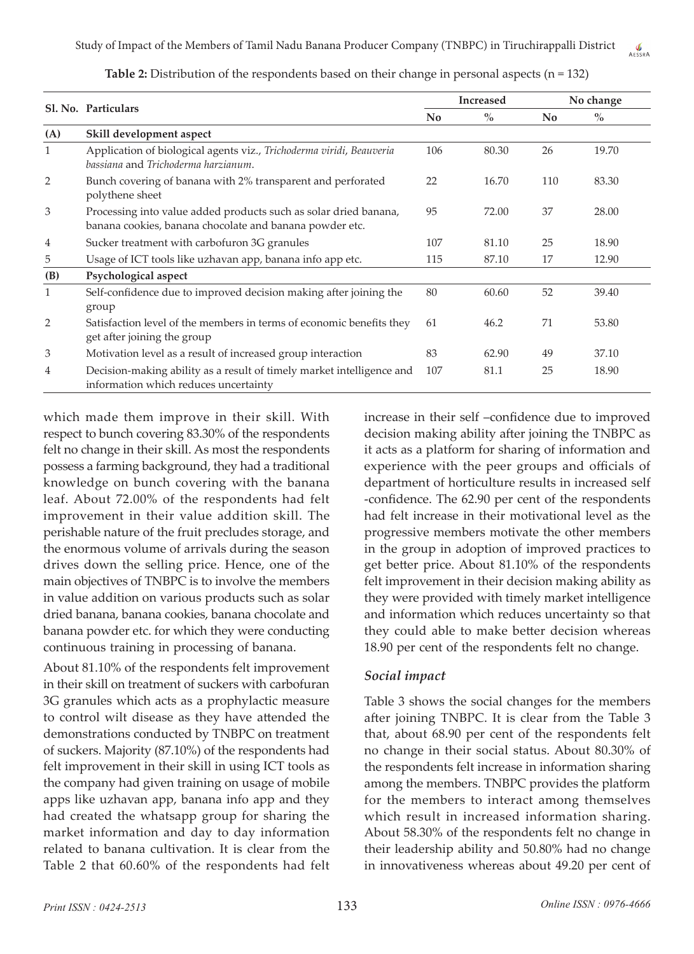|              | Sl. No. Particulars                                                                                                         |     | <b>Increased</b> | No change      |       |  |
|--------------|-----------------------------------------------------------------------------------------------------------------------------|-----|------------------|----------------|-------|--|
|              |                                                                                                                             |     | $\%$             | N <sub>0</sub> | $\%$  |  |
| (A)          | Skill development aspect                                                                                                    |     |                  |                |       |  |
| $\mathbf{1}$ | Application of biological agents viz., Trichoderma viridi, Beauveria<br>bassiana and Trichoderma harzianum.                 | 106 | 80.30            | 26             | 19.70 |  |
| 2            | Bunch covering of banana with 2% transparent and perforated<br>polythene sheet                                              | 22  | 16.70            | 110            | 83.30 |  |
| 3            | Processing into value added products such as solar dried banana,<br>banana cookies, banana chocolate and banana powder etc. | 95  | 72.00            | 37             | 28.00 |  |
| 4            | Sucker treatment with carbofuron 3G granules                                                                                | 107 | 81.10            | 25             | 18.90 |  |
| 5            | Usage of ICT tools like uzhavan app, banana info app etc.                                                                   | 115 | 87.10            | 17             | 12.90 |  |
| (B)          | Psychological aspect                                                                                                        |     |                  |                |       |  |
| $\mathbf{1}$ | Self-confidence due to improved decision making after joining the<br>group                                                  | 80  | 60.60            | 52             | 39.40 |  |
| 2            | Satisfaction level of the members in terms of economic benefits they<br>get after joining the group                         | 61  | 46.2             | 71             | 53.80 |  |
| 3            | Motivation level as a result of increased group interaction                                                                 | 83  | 62.90            | 49             | 37.10 |  |
| 4            | Decision-making ability as a result of timely market intelligence and<br>information which reduces uncertainty              | 107 | 81.1             | 25             | 18.90 |  |

**Table 2:** Distribution of the respondents based on their change in personal aspects (n = 132)

which made them improve in their skill. With respect to bunch covering 83.30% of the respondents felt no change in their skill. As most the respondents possess a farming background, they had a traditional knowledge on bunch covering with the banana leaf. About 72.00% of the respondents had felt improvement in their value addition skill. The perishable nature of the fruit precludes storage, and the enormous volume of arrivals during the season drives down the selling price. Hence, one of the main objectives of TNBPC is to involve the members in value addition on various products such as solar dried banana, banana cookies, banana chocolate and banana powder etc. for which they were conducting continuous training in processing of banana.

About 81.10% of the respondents felt improvement in their skill on treatment of suckers with carbofuran 3G granules which acts as a prophylactic measure to control wilt disease as they have attended the demonstrations conducted by TNBPC on treatment of suckers. Majority (87.10%) of the respondents had felt improvement in their skill in using ICT tools as the company had given training on usage of mobile apps like uzhavan app, banana info app and they had created the whatsapp group for sharing the market information and day to day information related to banana cultivation. It is clear from the Table 2 that 60.60% of the respondents had felt

increase in their self –confidence due to improved decision making ability after joining the TNBPC as it acts as a platform for sharing of information and experience with the peer groups and officials of department of horticulture results in increased self -confidence. The 62.90 per cent of the respondents had felt increase in their motivational level as the progressive members motivate the other members in the group in adoption of improved practices to get better price. About 81.10% of the respondents felt improvement in their decision making ability as they were provided with timely market intelligence and information which reduces uncertainty so that they could able to make better decision whereas 18.90 per cent of the respondents felt no change.

#### *Social impact*

Table 3 shows the social changes for the members after joining TNBPC. It is clear from the Table 3 that, about 68.90 per cent of the respondents felt no change in their social status. About 80.30% of the respondents felt increase in information sharing among the members. TNBPC provides the platform for the members to interact among themselves which result in increased information sharing. About 58.30% of the respondents felt no change in their leadership ability and 50.80% had no change in innovativeness whereas about 49.20 per cent of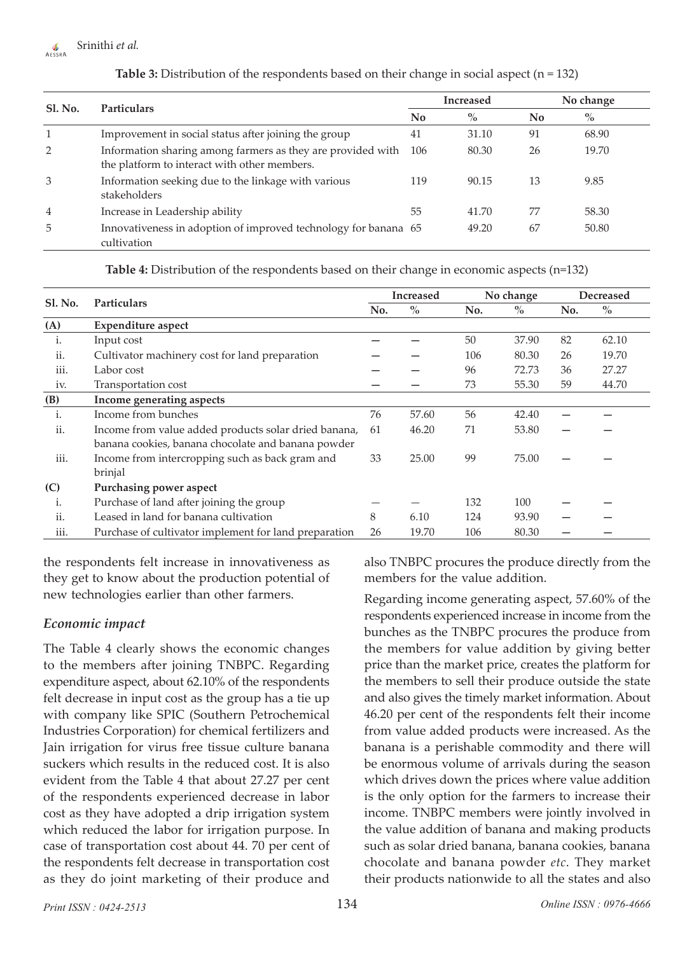# **Srinithi** *et al.*

| Sl. No. | <b>Particulars</b>                                                                                          | <b>Increased</b> |       | No change |       |  |
|---------|-------------------------------------------------------------------------------------------------------------|------------------|-------|-----------|-------|--|
|         |                                                                                                             | No               | $\%$  | No        | $\%$  |  |
|         | Improvement in social status after joining the group                                                        | 41               | 31.10 | 91        | 68.90 |  |
| 2       | Information sharing among farmers as they are provided with<br>the platform to interact with other members. | 106              | 80.30 | 26        | 19.70 |  |
| 3       | Information seeking due to the linkage with various<br>stakeholders                                         | 119              | 90.15 | 13        | 9.85  |  |
| 4       | Increase in Leadership ability                                                                              | 55               | 41.70 | 77        | 58.30 |  |
| 5       | Innovativeness in adoption of improved technology for banana 65<br>cultivation                              |                  | 49.20 | 67        | 50.80 |  |

#### **Table 3:** Distribution of the respondents based on their change in social aspect (n = 132)

**Table 4:** Distribution of the respondents based on their change in economic aspects (n=132)

|                |                                                                                                            | <b>Increased</b> |       | No change |       | <b>Decreased</b> |       |
|----------------|------------------------------------------------------------------------------------------------------------|------------------|-------|-----------|-------|------------------|-------|
| <b>Sl. No.</b> | <b>Particulars</b>                                                                                         |                  | $\%$  | No.       | $\%$  | No.              | $\%$  |
| (A)            | <b>Expenditure aspect</b>                                                                                  |                  |       |           |       |                  |       |
| i.             | Input cost                                                                                                 |                  |       | 50        | 37.90 | 82               | 62.10 |
| ii.            | Cultivator machinery cost for land preparation                                                             |                  |       | 106       | 80.30 | 26               | 19.70 |
| iii.           | Labor cost                                                                                                 |                  |       | 96        | 72.73 | 36               | 27.27 |
| iv.            | Transportation cost                                                                                        |                  |       | 73        | 55.30 | 59               | 44.70 |
| (B)            | Income generating aspects                                                                                  |                  |       |           |       |                  |       |
| i.             | Income from bunches                                                                                        | 76               | 57.60 | 56        | 42.40 |                  |       |
| ii.            | Income from value added products solar dried banana,<br>banana cookies, banana chocolate and banana powder | 61               | 46.20 | 71        | 53.80 |                  |       |
| iii.           | Income from intercropping such as back gram and<br>brinjal                                                 | 33               | 25.00 | 99        | 75.00 |                  |       |
| (C)            | Purchasing power aspect                                                                                    |                  |       |           |       |                  |       |
| 1.             | Purchase of land after joining the group                                                                   |                  |       | 132       | 100   |                  |       |
| ii.            | Leased in land for banana cultivation                                                                      | 8                | 6.10  | 124       | 93.90 |                  |       |
| iii.           | Purchase of cultivator implement for land preparation                                                      | 26               | 19.70 | 106       | 80.30 |                  |       |

the respondents felt increase in innovativeness as they get to know about the production potential of new technologies earlier than other farmers.

#### *Economic impact*

The Table 4 clearly shows the economic changes to the members after joining TNBPC. Regarding expenditure aspect, about 62.10% of the respondents felt decrease in input cost as the group has a tie up with company like SPIC (Southern Petrochemical Industries Corporation) for chemical fertilizers and Jain irrigation for virus free tissue culture banana suckers which results in the reduced cost. It is also evident from the Table 4 that about 27.27 per cent of the respondents experienced decrease in labor cost as they have adopted a drip irrigation system which reduced the labor for irrigation purpose. In case of transportation cost about 44. 70 per cent of the respondents felt decrease in transportation cost as they do joint marketing of their produce and

also TNBPC procures the produce directly from the members for the value addition.

Regarding income generating aspect, 57.60% of the respondents experienced increase in income from the bunches as the TNBPC procures the produce from the members for value addition by giving better price than the market price, creates the platform for the members to sell their produce outside the state and also gives the timely market information. About 46.20 per cent of the respondents felt their income from value added products were increased. As the banana is a perishable commodity and there will be enormous volume of arrivals during the season which drives down the prices where value addition is the only option for the farmers to increase their income. TNBPC members were jointly involved in the value addition of banana and making products such as solar dried banana, banana cookies, banana chocolate and banana powder *etc*. They market their products nationwide to all the states and also